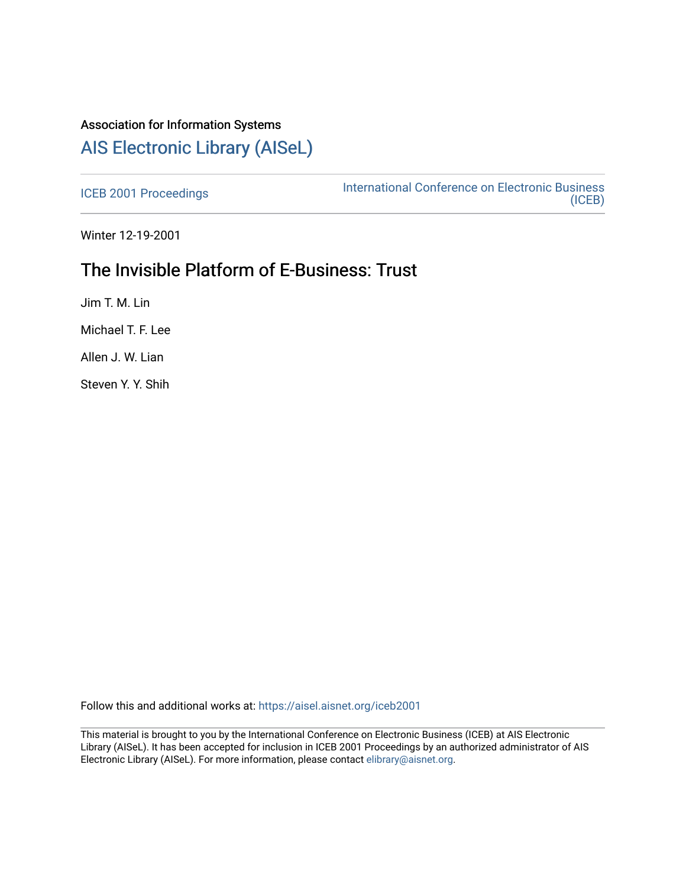# Association for Information Systems [AIS Electronic Library \(AISeL\)](https://aisel.aisnet.org/)

[ICEB 2001 Proceedings](https://aisel.aisnet.org/iceb2001) **International Conference on Electronic Business** [\(ICEB\)](https://aisel.aisnet.org/iceb) 

Winter 12-19-2001

# The Invisible Platform of E-Business: Trust

Jim T. M. Lin

Michael T. F. Lee

Allen J. W. Lian

Steven Y. Y. Shih

Follow this and additional works at: [https://aisel.aisnet.org/iceb2001](https://aisel.aisnet.org/iceb2001?utm_source=aisel.aisnet.org%2Ficeb2001%2F90&utm_medium=PDF&utm_campaign=PDFCoverPages)

This material is brought to you by the International Conference on Electronic Business (ICEB) at AIS Electronic Library (AISeL). It has been accepted for inclusion in ICEB 2001 Proceedings by an authorized administrator of AIS Electronic Library (AISeL). For more information, please contact [elibrary@aisnet.org.](mailto:elibrary@aisnet.org%3E)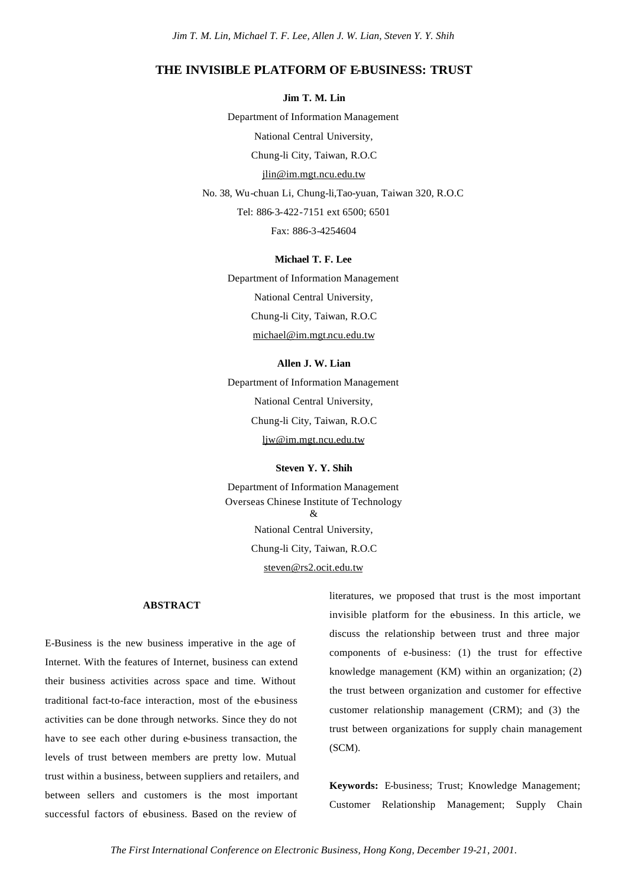## **THE INVISIBLE PLATFORM OF E-BUSINESS: TRUST**

**Jim T. M. Lin**

Department of Information Management National Central University, Chung-li City, Taiwan, R.O.C jlin@im.mgt.ncu.edu.tw No. 38, Wu-chuan Li, Chung-li,Tao-yuan, Taiwan 320, R.O.C Tel: 886-3-422-7151 ext 6500; 6501

Fax: 886-3-4254604

**Michael T. F. Lee** Department of Information Management National Central University, Chung-li City, Taiwan, R.O.C michael@im.mgt.ncu.edu.tw

### **Allen J. W. Lian**

Department of Information Management National Central University, Chung-li City, Taiwan, R.O.C ljw@im.mgt.ncu.edu.tw

**Steven Y. Y. Shih**

Department of Information Management Overseas Chinese Institute of Technology  $\mathcal{R}$ National Central University, Chung-li City, Taiwan, R.O.C steven@rs2.ocit.edu.tw

#### **ABSTRACT**

E-Business is the new business imperative in the age of Internet. With the features of Internet, business can extend their business activities across space and time. Without traditional fact-to-face interaction, most of the e-business activities can be done through networks. Since they do not have to see each other during e-business transaction, the levels of trust between members are pretty low. Mutual trust within a business, between suppliers and retailers, and between sellers and customers is the most important successful factors of ebusiness. Based on the review of

literatures, we proposed that trust is the most important invisible platform for the ebusiness. In this article, we discuss the relationship between trust and three major components of e-business: (1) the trust for effective knowledge management (KM) within an organization; (2) the trust between organization and customer for effective customer relationship management (CRM); and (3) the trust between organizations for supply chain management (SCM).

**Keywords:** E-business; Trust; Knowledge Management; Customer Relationship Management; Supply Chain

*The First International Conference on Electronic Business, Hong Kong, December 19-21, 2001.*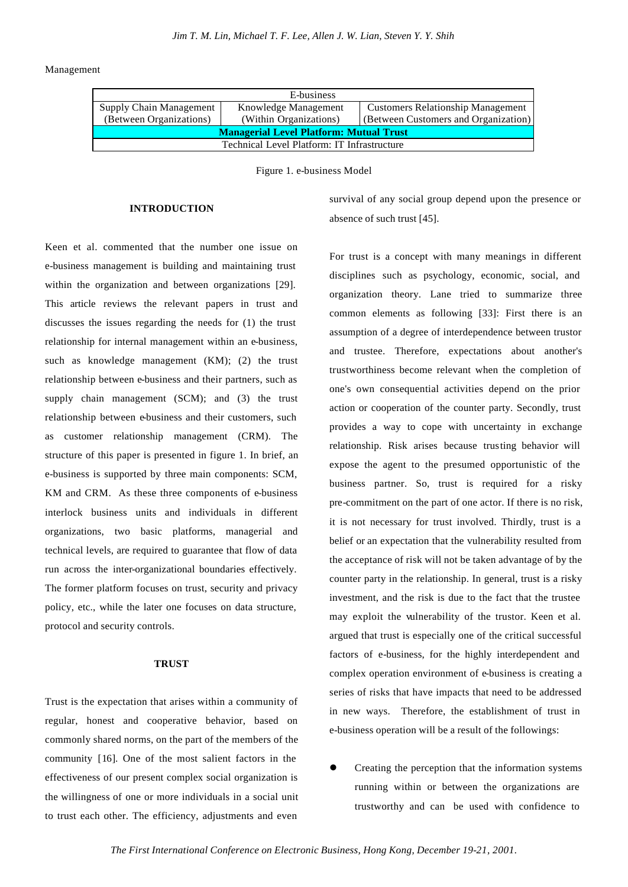Management

| E-business                                      |                        |                                          |  |  |  |  |
|-------------------------------------------------|------------------------|------------------------------------------|--|--|--|--|
| Supply Chain Management<br>Knowledge Management |                        | <b>Customers Relationship Management</b> |  |  |  |  |
| (Between Organizations)                         | (Within Organizations) | (Between Customers and Organization)     |  |  |  |  |
| <b>Managerial Level Platform: Mutual Trust</b>  |                        |                                          |  |  |  |  |
| Technical Level Platform: IT Infrastructure     |                        |                                          |  |  |  |  |

Figure 1. e-business Model

#### **INTRODUCTION**

Keen et al. commented that the number one issue on e-business management is building and maintaining trust within the organization and between organizations [29]. This article reviews the relevant papers in trust and discusses the issues regarding the needs for (1) the trust relationship for internal management within an e-business, such as knowledge management (KM); (2) the trust relationship between e-business and their partners, such as supply chain management (SCM); and (3) the trust relationship between e-business and their customers, such as customer relationship management (CRM). The structure of this paper is presented in figure 1. In brief, an e-business is supported by three main components: SCM, KM and CRM. As these three components of e-business interlock business units and individuals in different organizations, two basic platforms, managerial and technical levels, are required to guarantee that flow of data run across the inter-organizational boundaries effectively. The former platform focuses on trust, security and privacy policy, etc., while the later one focuses on data structure, protocol and security controls.

### **TRUST**

Trust is the expectation that arises within a community of regular, honest and cooperative behavior, based on commonly shared norms, on the part of the members of the community [16]. One of the most salient factors in the effectiveness of our present complex social organization is the willingness of one or more individuals in a social unit to trust each other. The efficiency, adjustments and even

survival of any social group depend upon the presence or absence of such trust [45].

For trust is a concept with many meanings in different disciplines such as psychology, economic, social, and organization theory. Lane tried to summarize three common elements as following [33]: First there is an assumption of a degree of interdependence between trustor and trustee. Therefore, expectations about another's trustworthiness become relevant when the completion of one's own consequential activities depend on the prior action or cooperation of the counter party. Secondly, trust provides a way to cope with uncertainty in exchange relationship. Risk arises because trusting behavior will expose the agent to the presumed opportunistic of the business partner. So, trust is required for a risky pre-commitment on the part of one actor. If there is no risk, it is not necessary for trust involved. Thirdly, trust is a belief or an expectation that the vulnerability resulted from the acceptance of risk will not be taken advantage of by the counter party in the relationship. In general, trust is a risky investment, and the risk is due to the fact that the trustee may exploit the vulnerability of the trustor. Keen et al. argued that trust is especially one of the critical successful factors of e-business, for the highly interdependent and complex operation environment of e-business is creating a series of risks that have impacts that need to be addressed in new ways. Therefore, the establishment of trust in e-business operation will be a result of the followings:

l Creating the perception that the information systems running within or between the organizations are trustworthy and can be used with confidence to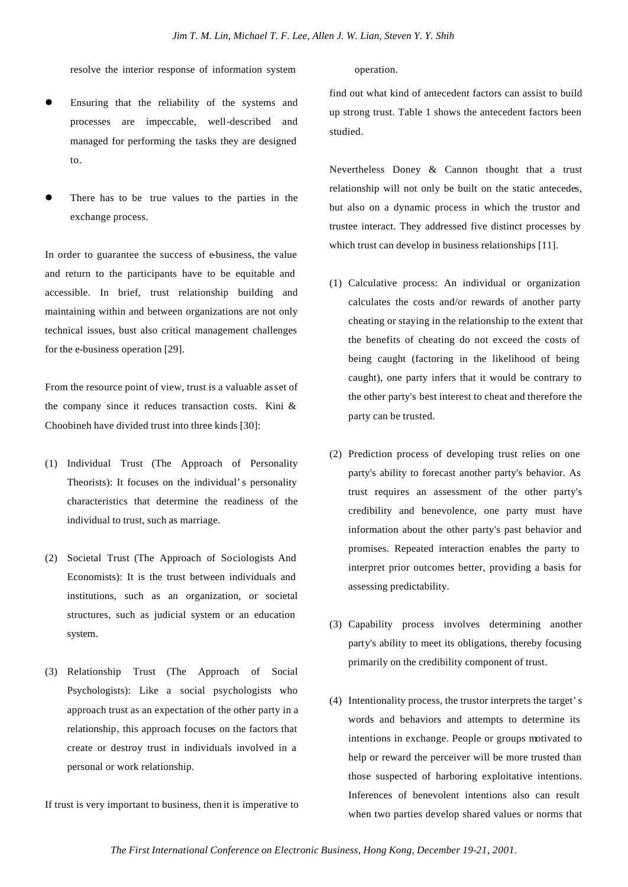resolve the interior response of information system operation.

- Ensuring that the reliability of the systems and processes are impeccable, well-described and managed for performing the tasks they are designed to.
- There has to be true values to the parties in the exchange process.

In order to guarantee the success of e-business, the value and return to the participants have to be equitable and accessible. In brief, trust relationship building and maintaining within and between organizations are not only technical issues, bust also critical management challenges for the e-business operation [29].

From the resource point of view, trust is a valuable asset of the company since it reduces transaction costs. Kini & Choobineh have divided trust into three kinds [30]:

- (1) Individual Trust (The Approach of Personality Theorists): It focuses on the individual's personality characteristics that determine the readiness of the individual to trust, such as marriage.
- (2) Societal Trust (The Approach of Sociologists And Economists): It is the trust between individuals and institutions, such as an organization, or societal structures, such as judicial system or an education system.
- (3) Relationship Trust (The Approach of Social Psychologists): Like a social psychologists who approach trust as an expectation of the other party in a relationship, this approach focuses on the factors that create or destroy trust in individuals involved in a personal or work relationship.

If trust is very important to business, then it is imperative to

find out what kind of antecedent factors can assist to build up strong trust. Table 1 shows the antecedent factors been studied.

Nevertheless Doney & Cannon thought that a trust relationship will not only be built on the static antecedes, but also on a dynamic process in which the trustor and trustee interact. They addressed five distinct processes by which trust can develop in business relationships [11].

- (1) Calculative process: An individual or organization calculates the costs and/or rewards of another party cheating or staying in the relationship to the extent that the benefits of cheating do not exceed the costs of being caught (factoring in the likelihood of being caught), one party infers that it would be contrary to the other party's best interest to cheat and therefore the party can be trusted.
- (2) Prediction process of developing trust relies on one party's ability to forecast another party's behavior. As trust requires an assessment of the other party's credibility and benevolence, one party must have information about the other party's past behavior and promises. Repeated interaction enables the party to interpret prior outcomes better, providing a basis for assessing predictability.
- (3) Capability process involves determining another party's ability to meet its obligations, thereby focusing primarily on the credibility component of trust.
- (4) Intentionality process, the trustor interprets the target's words and behaviors and attempts to determine its intentions in exchange. People or groups motivated to help or reward the perceiver will be more trusted than those suspected of harboring exploitative intentions. Inferences of benevolent intentions also can result when two parties develop shared values or norms that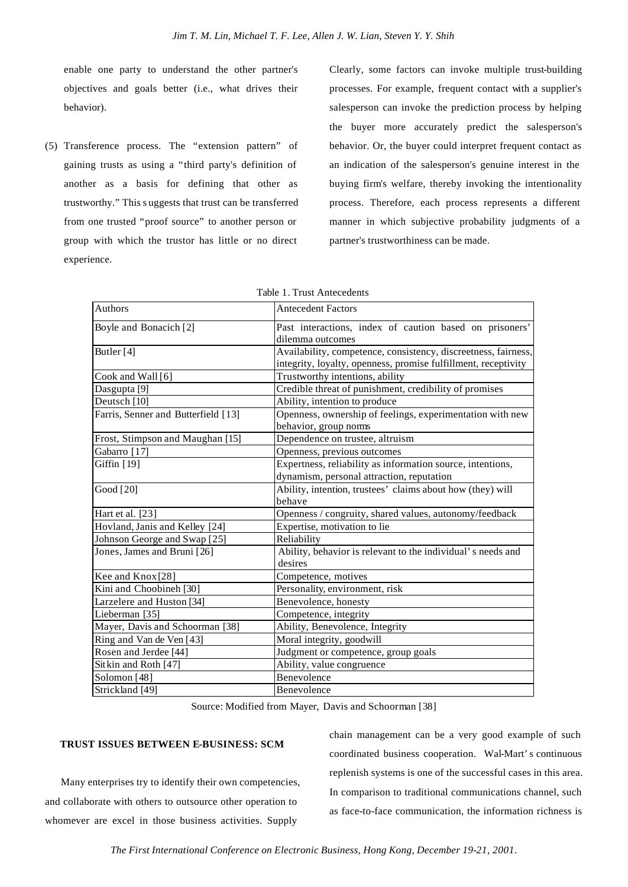enable one party to understand the other partner's objectives and goals better (i.e., what drives their behavior).

(5) Transference process. The "extension pattern" of gaining trusts as using a "third party's definition of another as a basis for defining that other as trustworthy." This s uggests that trust can be transferred from one trusted "proof source" to another person or group with which the trustor has little or no direct experience.

Clearly, some factors can invoke multiple trust-building processes. For example, frequent contact with a supplier's salesperson can invoke the prediction process by helping the buyer more accurately predict the salesperson's behavior. Or, the buyer could interpret frequent contact as an indication of the salesperson's genuine interest in the buying firm's welfare, thereby invoking the intentionality process. Therefore, each process represents a different manner in which subjective probability judgments of a partner's trustworthiness can be made.

| <b>Authors</b>                      | <b>Antecedent Factors</b>                                                                                                        |  |  |
|-------------------------------------|----------------------------------------------------------------------------------------------------------------------------------|--|--|
| Boyle and Bonacich [2]              | Past interactions, index of caution based on prisoners'<br>dilemma outcomes                                                      |  |  |
| Butler $[4]$                        | Availability, competence, consistency, discreetness, fairness,<br>integrity, loyalty, openness, promise fulfillment, receptivity |  |  |
| Cook and Wall [6]                   | Trustworthy intentions, ability                                                                                                  |  |  |
| Dasgupta <sup>[9]</sup>             | Credible threat of punishment, credibility of promises                                                                           |  |  |
| Deutsch <sup>[10]</sup>             | Ability, intention to produce                                                                                                    |  |  |
| Farris, Senner and Butterfield [13] | Openness, ownership of feelings, experimentation with new<br>behavior, group norms                                               |  |  |
| Frost, Stimpson and Maughan [15]    | Dependence on trustee, altruism                                                                                                  |  |  |
| Gabarro [17]                        | Openness, previous outcomes                                                                                                      |  |  |
| Giffin [19]                         | Expertness, reliability as information source, intentions,                                                                       |  |  |
|                                     | dynamism, personal attraction, reputation                                                                                        |  |  |
| Good [20]                           | Ability, intention, trustees' claims about how (they) will                                                                       |  |  |
|                                     | behave                                                                                                                           |  |  |
| Hart et al. [23]                    | Openness / congruity, shared values, autonomy/feedback                                                                           |  |  |
| Hovland, Janis and Kelley [24]      | Expertise, motivation to lie                                                                                                     |  |  |
| Johnson George and Swap [25]        | Reliability                                                                                                                      |  |  |
| Jones, James and Bruni [26]         | Ability, behavior is relevant to the individual's needs and<br>desires                                                           |  |  |
| Kee and Knox [28]                   | Competence, motives                                                                                                              |  |  |
| Kini and Choobineh [30]             | Personality, environment, risk                                                                                                   |  |  |
| Larzelere and Huston [34]           | Benevolence, honesty                                                                                                             |  |  |
| Lieberman [35]                      | Competence, integrity                                                                                                            |  |  |
| Mayer, Davis and Schoorman [38]     | Ability, Benevolence, Integrity                                                                                                  |  |  |
| Ring and Van de Ven [43]            | Moral integrity, goodwill                                                                                                        |  |  |
| Rosen and Jerdee [44]               | Judgment or competence, group goals                                                                                              |  |  |
| Sitkin and Roth [47]                | Ability, value congruence                                                                                                        |  |  |
| Solomon [48]                        | Benevolence                                                                                                                      |  |  |
| Strickland [49]                     | Benevolence                                                                                                                      |  |  |

|  |  |  | Table 1. Trust Antecedents |  |
|--|--|--|----------------------------|--|
|--|--|--|----------------------------|--|

Source: Modified from Mayer, Davis and Schoorman [38]

#### **TRUST ISSUES BETWEEN E-BUSINESS: SCM**

Many enterprises try to identify their own competencies, and collaborate with others to outsource other operation to whomever are excel in those business activities. Supply

chain management can be a very good example of such coordinated business cooperation. Wal-Mart's continuous replenish systems is one of the successful cases in this area. In comparison to traditional communications channel, such as face-to-face communication, the information richness is

*The First International Conference on Electronic Business, Hong Kong, December 19-21, 2001.*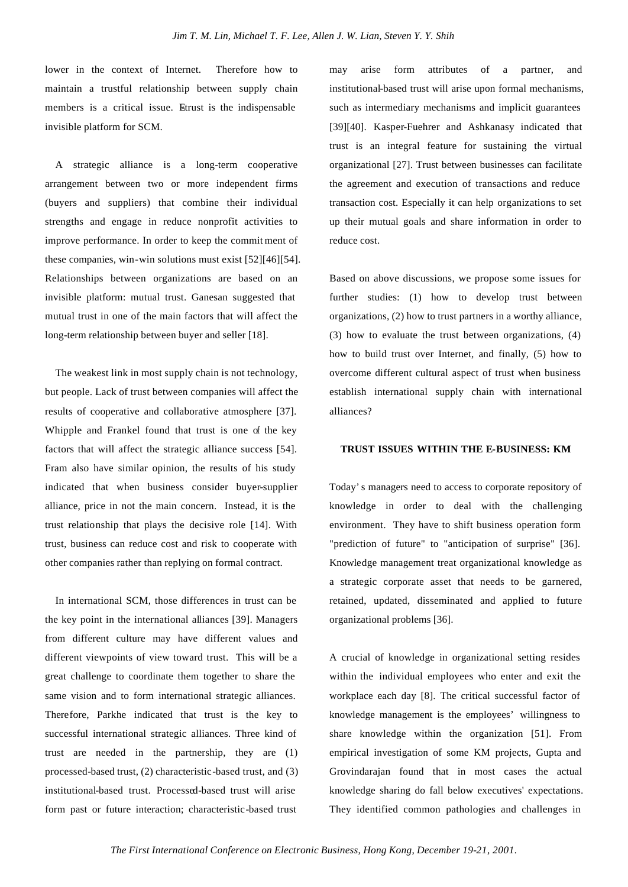lower in the context of Internet. Therefore how to maintain a trustful relationship between supply chain members is a critical issue. Etrust is the indispensable invisible platform for SCM.

A strategic alliance is a long-term cooperative arrangement between two or more independent firms (buyers and suppliers) that combine their individual strengths and engage in reduce nonprofit activities to improve performance. In order to keep the commit ment of these companies, win-win solutions must exist [52][46][54]. Relationships between organizations are based on an invisible platform: mutual trust. Ganesan suggested that mutual trust in one of the main factors that will affect the long-term relationship between buyer and seller [18].

The weakest link in most supply chain is not technology, but people. Lack of trust between companies will affect the results of cooperative and collaborative atmosphere [37]. Whipple and Frankel found that trust is one of the key factors that will affect the strategic alliance success [54]. Fram also have similar opinion, the results of his study indicated that when business consider buyer-supplier alliance, price in not the main concern. Instead, it is the trust relationship that plays the decisive role [14]. With trust, business can reduce cost and risk to cooperate with other companies rather than replying on formal contract.

In international SCM, those differences in trust can be the key point in the international alliances [39]. Managers from different culture may have different values and different viewpoints of view toward trust. This will be a great challenge to coordinate them together to share the same vision and to form international strategic alliances. Therefore, Parkhe indicated that trust is the key to successful international strategic alliances. Three kind of trust are needed in the partnership, they are (1) processed-based trust, (2) characteristic-based trust, and (3) institutional-based trust. Processed-based trust will arise form past or future interaction; characteristic-based trust

may arise form attributes of a partner, and institutional-based trust will arise upon formal mechanisms, such as intermediary mechanisms and implicit guarantees [39][40]. Kasper-Fuehrer and Ashkanasy indicated that trust is an integral feature for sustaining the virtual organizational [27]. Trust between businesses can facilitate the agreement and execution of transactions and reduce transaction cost. Especially it can help organizations to set up their mutual goals and share information in order to reduce cost.

Based on above discussions, we propose some issues for further studies: (1) how to develop trust between organizations, (2) how to trust partners in a worthy alliance, (3) how to evaluate the trust between organizations, (4) how to build trust over Internet, and finally, (5) how to overcome different cultural aspect of trust when business establish international supply chain with international alliances?

#### **TRUST ISSUES WITHIN THE E-BUSINESS: KM**

Today's managers need to access to corporate repository of knowledge in order to deal with the challenging environment. They have to shift business operation form "prediction of future" to "anticipation of surprise" [36]. Knowledge management treat organizational knowledge as a strategic corporate asset that needs to be garnered, retained, updated, disseminated and applied to future organizational problems [36].

A crucial of knowledge in organizational setting resides within the individual employees who enter and exit the workplace each day [8]. The critical successful factor of knowledge management is the employees' willingness to share knowledge within the organization [51]. From empirical investigation of some KM projects, Gupta and Grovindarajan found that in most cases the actual knowledge sharing do fall below executives' expectations. They identified common pathologies and challenges in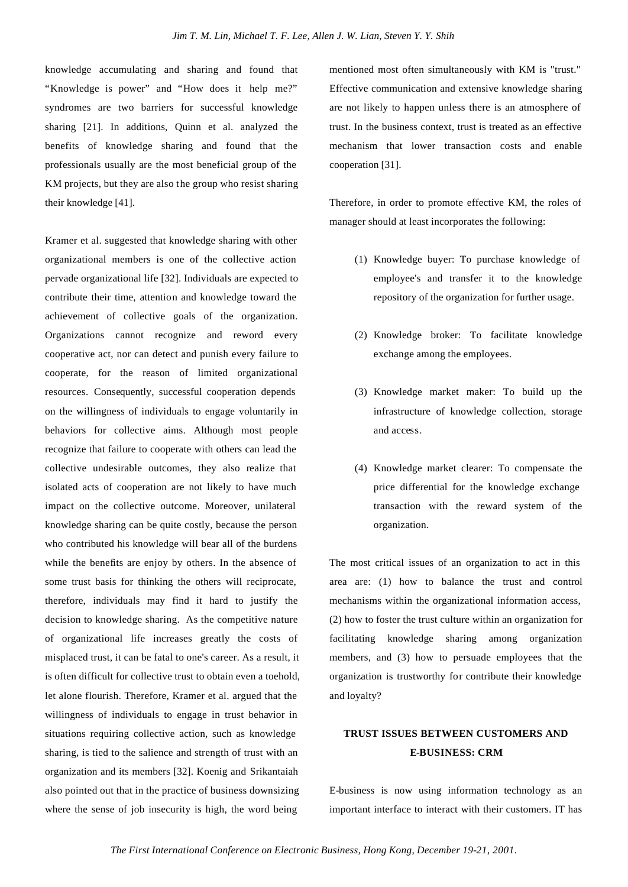knowledge accumulating and sharing and found that "Knowledge is power" and "How does it help me?" syndromes are two barriers for successful knowledge sharing [21]. In additions, Quinn et al. analyzed the benefits of knowledge sharing and found that the professionals usually are the most beneficial group of the KM projects, but they are also the group who resist sharing their knowledge [41].

Kramer et al. suggested that knowledge sharing with other organizational members is one of the collective action pervade organizational life [32]. Individuals are expected to contribute their time, attention and knowledge toward the achievement of collective goals of the organization. Organizations cannot recognize and reword every cooperative act, nor can detect and punish every failure to cooperate, for the reason of limited organizational resources. Consequently, successful cooperation depends on the willingness of individuals to engage voluntarily in behaviors for collective aims. Although most people recognize that failure to cooperate with others can lead the collective undesirable outcomes, they also realize that isolated acts of cooperation are not likely to have much impact on the collective outcome. Moreover, unilateral knowledge sharing can be quite costly, because the person who contributed his knowledge will bear all of the burdens while the benefits are enjoy by others. In the absence of some trust basis for thinking the others will reciprocate, therefore, individuals may find it hard to justify the decision to knowledge sharing. As the competitive nature of organizational life increases greatly the costs of misplaced trust, it can be fatal to one's career. As a result, it is often difficult for collective trust to obtain even a toehold, let alone flourish. Therefore, Kramer et al. argued that the willingness of individuals to engage in trust behavior in situations requiring collective action, such as knowledge sharing, is tied to the salience and strength of trust with an organization and its members [32]. Koenig and Srikantaiah also pointed out that in the practice of business downsizing where the sense of job insecurity is high, the word being

mentioned most often simultaneously with KM is "trust." Effective communication and extensive knowledge sharing are not likely to happen unless there is an atmosphere of trust. In the business context, trust is treated as an effective mechanism that lower transaction costs and enable cooperation [31].

Therefore, in order to promote effective KM, the roles of manager should at least incorporates the following:

- (1) Knowledge buyer: To purchase knowledge of employee's and transfer it to the knowledge repository of the organization for further usage.
- (2) Knowledge broker: To facilitate knowledge exchange among the employees.
- (3) Knowledge market maker: To build up the infrastructure of knowledge collection, storage and access.
- (4) Knowledge market clearer: To compensate the price differential for the knowledge exchange transaction with the reward system of the organization.

The most critical issues of an organization to act in this area are: (1) how to balance the trust and control mechanisms within the organizational information access, (2) how to foster the trust culture within an organization for facilitating knowledge sharing among organization members, and (3) how to persuade employees that the organization is trustworthy for contribute their knowledge and loyalty?

# **TRUST ISSUES BETWEEN CUSTOMERS AND E-BUSINESS: CRM**

E-business is now using information technology as an important interface to interact with their customers. IT has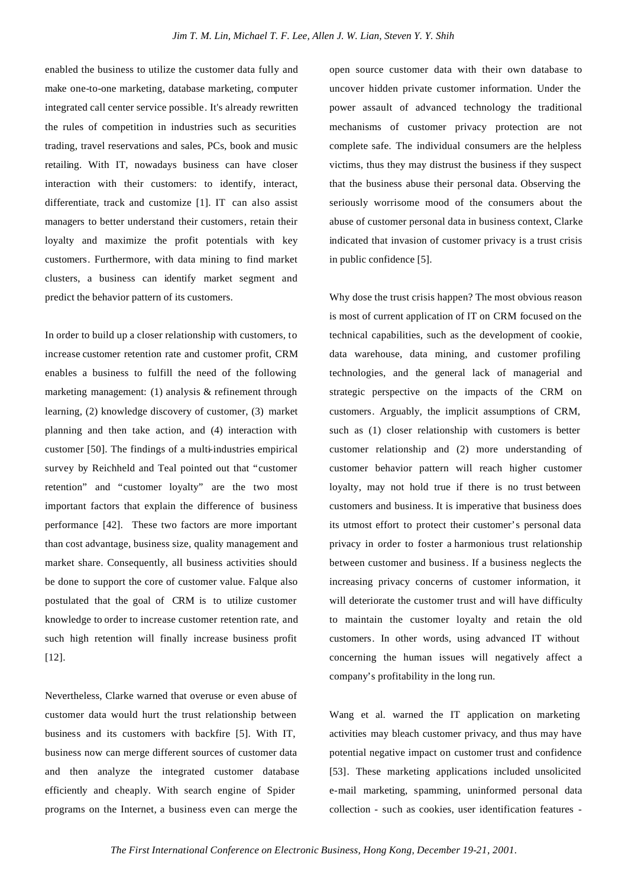enabled the business to utilize the customer data fully and make one-to-one marketing, database marketing, computer integrated call center service possible. It's already rewritten the rules of competition in industries such as securities trading, travel reservations and sales, PCs, book and music retailing. With IT, nowadays business can have closer interaction with their customers: to identify, interact, differentiate, track and customize [1]. IT can also assist managers to better understand their customers, retain their loyalty and maximize the profit potentials with key customers. Furthermore, with data mining to find market clusters, a business can identify market segment and predict the behavior pattern of its customers.

In order to build up a closer relationship with customers, to increase customer retention rate and customer profit, CRM enables a business to fulfill the need of the following marketing management: (1) analysis & refinement through learning, (2) knowledge discovery of customer, (3) market planning and then take action, and (4) interaction with customer [50]. The findings of a multi-industries empirical survey by Reichheld and Teal pointed out that "customer retention" and "customer loyalty" are the two most important factors that explain the difference of business performance [42]. These two factors are more important than cost advantage, business size, quality management and market share. Consequently, all business activities should be done to support the core of customer value. Falque also postulated that the goal of CRM is to utilize customer knowledge to order to increase customer retention rate, and such high retention will finally increase business profit [12].

Nevertheless, Clarke warned that overuse or even abuse of customer data would hurt the trust relationship between business and its customers with backfire [5]. With IT, business now can merge different sources of customer data and then analyze the integrated customer database efficiently and cheaply. With search engine of Spider programs on the Internet, a business even can merge the

open source customer data with their own database to uncover hidden private customer information. Under the power assault of advanced technology the traditional mechanisms of customer privacy protection are not complete safe. The individual consumers are the helpless victims, thus they may distrust the business if they suspect that the business abuse their personal data. Observing the seriously worrisome mood of the consumers about the abuse of customer personal data in business context, Clarke indicated that invasion of customer privacy is a trust crisis in public confidence [5].

Why dose the trust crisis happen? The most obvious reason is most of current application of IT on CRM focused on the technical capabilities, such as the development of cookie, data warehouse, data mining, and customer profiling technologies, and the general lack of managerial and strategic perspective on the impacts of the CRM on customers. Arguably, the implicit assumptions of CRM, such as (1) closer relationship with customers is better customer relationship and (2) more understanding of customer behavior pattern will reach higher customer loyalty, may not hold true if there is no trust between customers and business. It is imperative that business does its utmost effort to protect their customer's personal data privacy in order to foster a harmonious trust relationship between customer and business. If a business neglects the increasing privacy concerns of customer information, it will deteriorate the customer trust and will have difficulty to maintain the customer loyalty and retain the old customers. In other words, using advanced IT without concerning the human issues will negatively affect a company's profitability in the long run.

Wang et al. warned the IT application on marketing activities may bleach customer privacy, and thus may have potential negative impact on customer trust and confidence [53]. These marketing applications included unsolicited e-mail marketing, spamming, uninformed personal data collection - such as cookies, user identification features -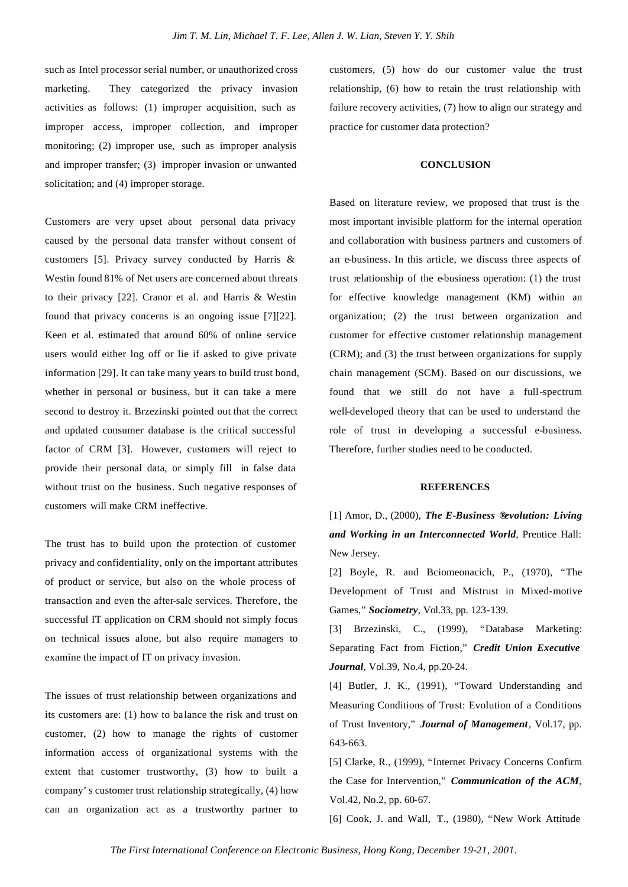such as Intel processor serial number, or unauthorized cross marketing. They categorized the privacy invasion activities as follows: (1) improper acquisition, such as improper access, improper collection, and improper monitoring; (2) improper use, such as improper analysis and improper transfer; (3) improper invasion or unwanted solicitation; and (4) improper storage.

Customers are very upset about personal data privacy caused by the personal data transfer without consent of customers [5]. Privacy survey conducted by Harris & Westin found 81% of Net users are concerned about threats to their privacy [22]. Cranor et al. and Harris & Westin found that privacy concerns is an ongoing issue [7][22]. Keen et al. estimated that around 60% of online service users would either log off or lie if asked to give private information [29]. It can take many years to build trust bond, whether in personal or business, but it can take a mere second to destroy it. Brzezinski pointed out that the correct and updated consumer database is the critical successful factor of CRM [3]. However, customers will reject to provide their personal data, or simply fill in false data without trust on the business. Such negative responses of customers will make CRM ineffective.

The trust has to build upon the protection of customer privacy and confidentiality, only on the important attributes of product or service, but also on the whole process of transaction and even the after-sale services. Therefore, the successful IT application on CRM should not simply focus on technical issues alone, but also require managers to examine the impact of IT on privacy invasion.

The issues of trust relationship between organizations and its customers are: (1) how to balance the risk and trust on customer, (2) how to manage the rights of customer information access of organizational systems with the extent that customer trustworthy, (3) how to built a company's customer trust relationship strategically, (4) how can an organization act as a trustworthy partner to customers, (5) how do our customer value the trust relationship, (6) how to retain the trust relationship with failure recovery activities, (7) how to align our strategy and practice for customer data protection?

#### **CONCLUSION**

Based on literature review, we proposed that trust is the most important invisible platform for the internal operation and collaboration with business partners and customers of an e-business. In this article, we discuss three aspects of trust relationship of the e-business operation:  $(1)$  the trust for effective knowledge management (KM) within an organization; (2) the trust between organization and customer for effective customer relationship management (CRM); and (3) the trust between organizations for supply chain management (SCM). Based on our discussions, we found that we still do not have a full-spectrum well-developed theory that can be used to understand the role of trust in developing a successful e-business. Therefore, further studies need to be conducted.

#### **REFERENCES**

[1] Amor, D., (2000), *The E-Business ®evolution: Living and Working in an Interconnected World*, Prentice Hall: New Jersey.

[2] Boyle, R. and Bciomeonacich, P., (1970), "The Development of Trust and Mistrust in Mixed-motive Games," *Sociometry*, Vol.33, pp. 123-139.

[3] Brzezinski, C., (1999), "Database Marketing: Separating Fact from Fiction," *Credit Union Executive Journal*, Vol.39, No.4, pp.20-24.

[4] Butler, J. K., (1991), "Toward Understanding and Measuring Conditions of Trust: Evolution of a Conditions of Trust Inventory," *Journal of Management*, Vol.17, pp. 643-663.

[5] Clarke, R., (1999), "Internet Privacy Concerns Confirm the Case for Intervention," *Communication of the ACM*, Vol.42, No.2, pp. 60-67.

[6] Cook, J. and Wall, T., (1980), "New Work Attitude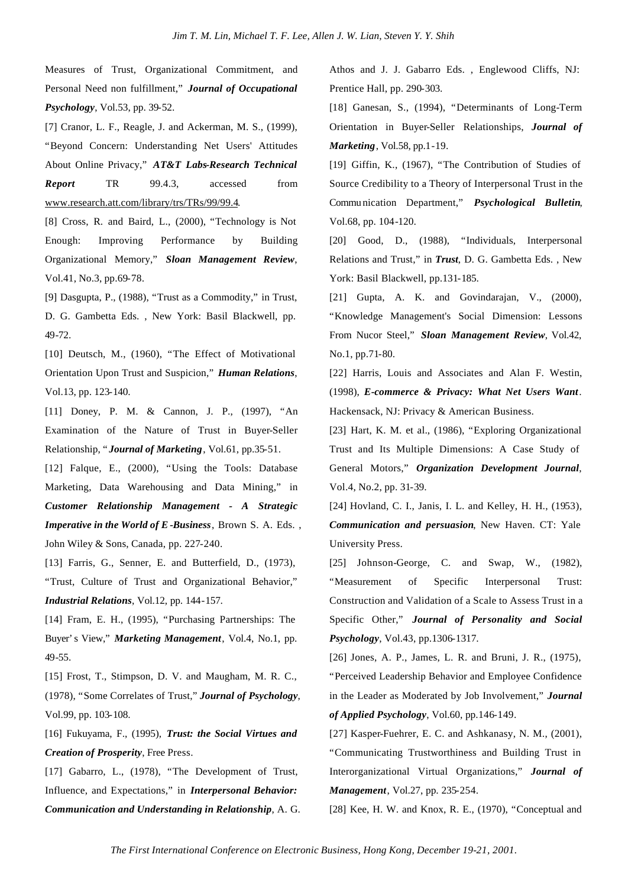Measures of Trust, Organizational Commitment, and Personal Need non fulfillment," *Journal of Occupational Psychology*, Vol.53, pp. 39-52.

[7] Cranor, L. F., Reagle, J. and Ackerman, M. S., (1999), "Beyond Concern: Understanding Net Users' Attitudes About Online Privacy," *AT&T Labs-Research Technical Report* TR 99.4.3, accessed from www.research.att.com/library/trs/TRs/99/99.4.

[8] Cross, R. and Baird, L., (2000), "Technology is Not Enough: Improving Performance by Building Organizational Memory," *Sloan Management Review*, Vol.41, No.3, pp.69-78.

[9] Dasgupta, P., (1988), "Trust as a Commodity," in Trust, D. G. Gambetta Eds. , New York: Basil Blackwell, pp. 49-72.

[10] Deutsch, M., (1960), "The Effect of Motivational Orientation Upon Trust and Suspicion," *Human Relations*, Vol.13, pp. 123-140.

[11] Doney, P. M. & Cannon, J. P., (1997), "An Examination of the Nature of Trust in Buyer-Seller Relationship, "*Journal of Marketing*, Vol.61, pp.35-51.

[12] Falque, E., (2000), "Using the Tools: Database Marketing, Data Warehousing and Data Mining," in *Customer Relationship Management - A Strategic Imperative in the World of E-Business*, Brown S. A. Eds. , John Wiley & Sons, Canada, pp. 227-240.

[13] Farris, G., Senner, E. and Butterfield, D., (1973), "Trust, Culture of Trust and Organizational Behavior," *Industrial Relations*, Vol.12, pp. 144-157.

[14] Fram, E. H., (1995), "Purchasing Partnerships: The Buyer's View," *Marketing Management*, Vol.4, No.1, pp. 49-55.

[15] Frost, T., Stimpson, D. V. and Maugham, M. R. C., (1978), "Some Correlates of Trust," *Journal of Psychology*, Vol.99, pp. 103-108.

[16] Fukuyama, F., (1995), *Trust: the Social Virtues and Creation of Prosperity*, Free Press.

[17] Gabarro, L., (1978), "The Development of Trust, Influence, and Expectations," in *Interpersonal Behavior: Communication and Understanding in Relationship*, A. G. Athos and J. J. Gabarro Eds. , Englewood Cliffs, NJ: Prentice Hall, pp. 290-303.

[18] Ganesan, S., (1994), "Determinants of Long-Term Orientation in Buyer-Seller Relationships, *Journal of Marketing*, Vol.58, pp.1-19.

[19] Giffin, K., (1967), "The Contribution of Studies of Source Credibility to a Theory of Interpersonal Trust in the Communication Department," *Psychological Bulletin*, Vol.68, pp. 104-120.

[20] Good, D., (1988), "Individuals, Interpersonal Relations and Trust," in *Trust*, D. G. Gambetta Eds. , New York: Basil Blackwell, pp.131-185.

[21] Gupta, A. K. and Govindarajan, V., (2000), "Knowledge Management's Social Dimension: Lessons From Nucor Steel," *Sloan Management Review*, Vol.42, No.1, pp.71-80.

[22] Harris, Louis and Associates and Alan F. Westin, (1998), *E-commerce & Privacy: What Net Users Want*. Hackensack, NJ: Privacy & American Business.

[23] Hart, K. M. et al., (1986), "Exploring Organizational Trust and Its Multiple Dimensions: A Case Study of General Motors," *Organization Development Journal*, Vol.4, No.2, pp. 31-39.

[24] Hovland, C. I., Janis, I. L. and Kelley, H. H., (1953), *Communication and persuasion*, New Haven. CT: Yale University Press.

[25] Johnson-George, C. and Swap, W., (1982), "Measurement of Specific Interpersonal Trust: Construction and Validation of a Scale to Assess Trust in a Specific Other," *Journal of Personality and Social Psychology*, Vol.43, pp.1306-1317.

[26] Jones, A. P., James, L. R. and Bruni, J. R., (1975), "Perceived Leadership Behavior and Employee Confidence in the Leader as Moderated by Job Involvement," *Journal of Applied Psychology*, Vol.60, pp.146-149.

[27] Kasper-Fuehrer, E. C. and Ashkanasy, N. M., (2001), "Communicating Trustworthiness and Building Trust in Interorganizational Virtual Organizations," *Journal of Management*, Vol.27, pp. 235-254.

[28] Kee, H. W. and Knox, R. E., (1970), "Conceptual and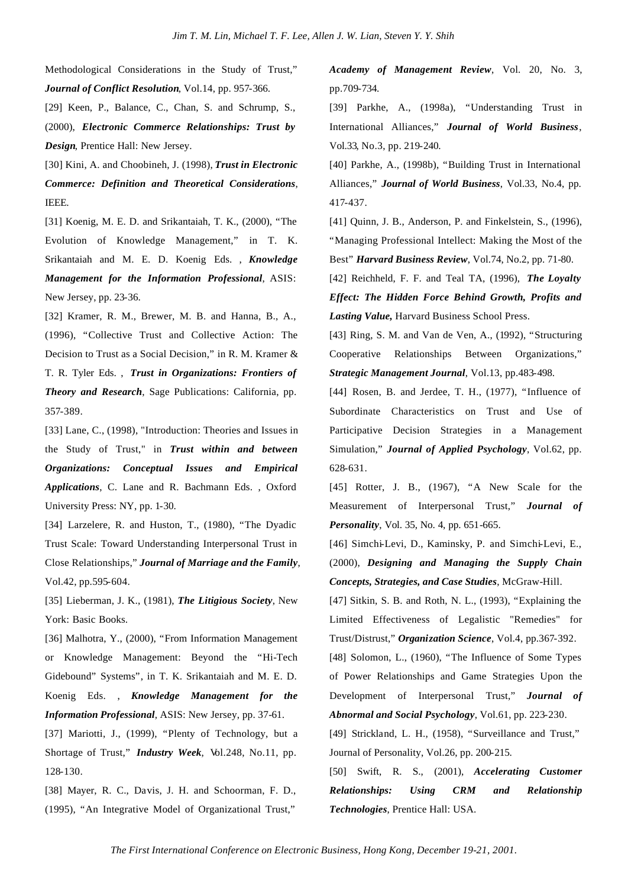Methodological Considerations in the Study of Trust," *Journal of Conflict Resolution*, Vol.14, pp. 957-366.

[29] Keen, P., Balance, C., Chan, S. and Schrump, S., (2000), *Electronic Commerce Relationships: Trust by Design*, Prentice Hall: New Jersey.

[30] Kini, A. and Choobineh, J. (1998), *Trust in Electronic Commerce: Definition and Theoretical Considerations*, IEEE.

[31] Koenig, M. E. D. and Srikantaiah, T. K., (2000), "The Evolution of Knowledge Management," in T. K. Srikantaiah and M. E. D. Koenig Eds. , *Knowledge Management for the Information Professional*, ASIS: New Jersey, pp. 23-36.

[32] Kramer, R. M., Brewer, M. B. and Hanna, B., A., (1996), "Collective Trust and Collective Action: The Decision to Trust as a Social Decision," in R. M. Kramer & T. R. Tyler Eds. , *Trust in Organizations: Frontiers of Theory and Research*, Sage Publications: California, pp. 357-389.

[33] Lane, C., (1998), "Introduction: Theories and Issues in the Study of Trust," in *Trust within and between Organizations: Conceptual Issues and Empirical Applications*, C. Lane and R. Bachmann Eds. , Oxford University Press: NY, pp. 1-30.

[34] Larzelere, R. and Huston, T., (1980), "The Dyadic Trust Scale: Toward Understanding Interpersonal Trust in Close Relationships," *Journal of Marriage and the Family*, Vol.42, pp.595-604.

[35] Lieberman, J. K., (1981), *The Litigious Society*, New York: Basic Books.

[36] Malhotra, Y., (2000), "From Information Management or Knowledge Management: Beyond the "Hi-Tech Gidebound" Systems", in T. K. Srikantaiah and M. E. D. Koenig Eds. , *Knowledge Management for the Information Professional*, ASIS: New Jersey, pp. 37-61.

[37] Mariotti, J., (1999), "Plenty of Technology, but a Shortage of Trust," *Industry Week*, Vol.248, No.11, pp. 128-130.

[38] Mayer, R. C., Davis, J. H. and Schoorman, F. D., (1995), "An Integrative Model of Organizational Trust,"

*Academy of Management Review*, Vol. 20, No. 3, pp.709-734.

[39] Parkhe, A., (1998a), "Understanding Trust in International Alliances," *Journal of World Business*, Vol.33, No.3, pp. 219-240.

[40] Parkhe, A., (1998b), "Building Trust in International Alliances," *Journal of World Business*, Vol.33, No.4, pp. 417-437.

[41] Quinn, J. B., Anderson, P. and Finkelstein, S., (1996), "Managing Professional Intellect: Making the Most of the Best" *Harvard Business Review*, Vol.74, No.2, pp. 71-80.

[42] Reichheld, F. F. and Teal TA, (1996), *The Loyalty Effect: The Hidden Force Behind Growth, Profits and Lasting Value,* Harvard Business School Press.

[43] Ring, S. M. and Van de Ven, A., (1992), "Structuring Cooperative Relationships Between Organizations," *Strategic Management Journal*, Vol.13, pp.483-498.

[44] Rosen, B. and Jerdee, T. H., (1977), "Influence of Subordinate Characteristics on Trust and Use of Participative Decision Strategies in a Management Simulation," *Journal of Applied Psychology*, Vol.62, pp. 628-631.

[45] Rotter, J. B., (1967), "A New Scale for the Measurement of Interpersonal Trust," *Journal of Personality*, Vol. 35, No. 4, pp. 651-665.

[46] Simchi-Levi, D., Kaminsky, P. and Simchi-Levi, E., (2000), *Designing and Managing the Supply Chain Concepts, Strategies, and Case Studies*, McGraw-Hill.

[47] Sitkin, S. B. and Roth, N. L., (1993), "Explaining the Limited Effectiveness of Legalistic "Remedies" for Trust/Distrust," *Organization Science*, Vol.4, pp.367-392.

[48] Solomon, L., (1960), "The Influence of Some Types of Power Relationships and Game Strategies Upon the Development of Interpersonal Trust," *Journal of Abnormal and Social Psychology*, Vol.61, pp. 223-230.

[49] Strickland, L. H., (1958), "Surveillance and Trust," Journal of Personality, Vol.26, pp. 200-215.

[50] Swift, R. S., (2001), *Accelerating Customer Relationships: Using CRM and Relationship Technologies*, Prentice Hall: USA.